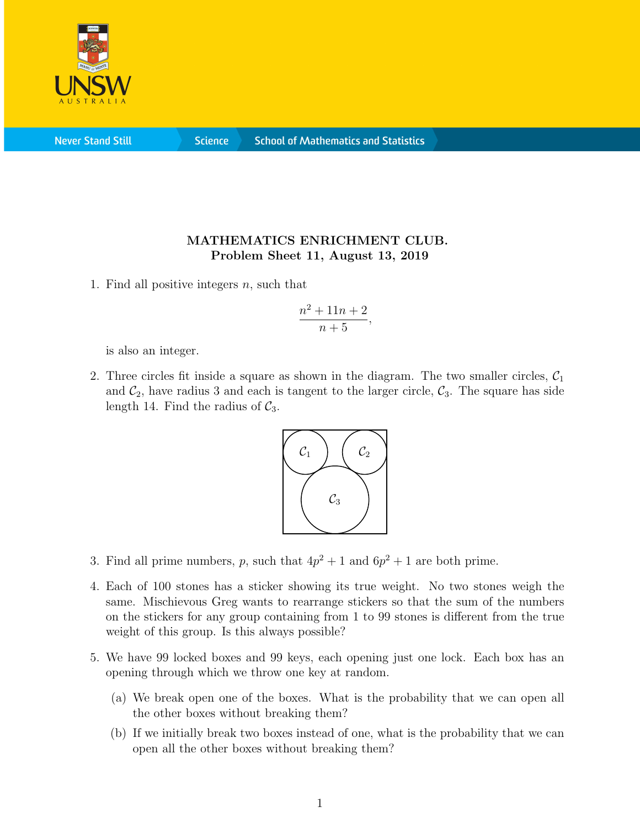

**Never Stand Still** 

**Science** 

## MATHEMATICS ENRICHMENT CLUB. Problem Sheet 11, August 13, 2019

1. Find all positive integers  $n$ , such that

$$
\frac{n^2+11n+2}{n+5},
$$

is also an integer.

2. Three circles fit inside a square as shown in the diagram. The two smaller circles,  $C_1$ and  $C_2$ , have radius 3 and each is tangent to the larger circle,  $C_3$ . The square has side length 14. Find the radius of  $C_3$ .



- 3. Find all prime numbers, p, such that  $4p^2 + 1$  and  $6p^2 + 1$  are both prime.
- 4. Each of 100 stones has a sticker showing its true weight. No two stones weigh the same. Mischievous Greg wants to rearrange stickers so that the sum of the numbers on the stickers for any group containing from 1 to 99 stones is different from the true weight of this group. Is this always possible?
- 5. We have 99 locked boxes and 99 keys, each opening just one lock. Each box has an opening through which we throw one key at random.
	- (a) We break open one of the boxes. What is the probability that we can open all the other boxes without breaking them?
	- (b) If we initially break two boxes instead of one, what is the probability that we can open all the other boxes without breaking them?